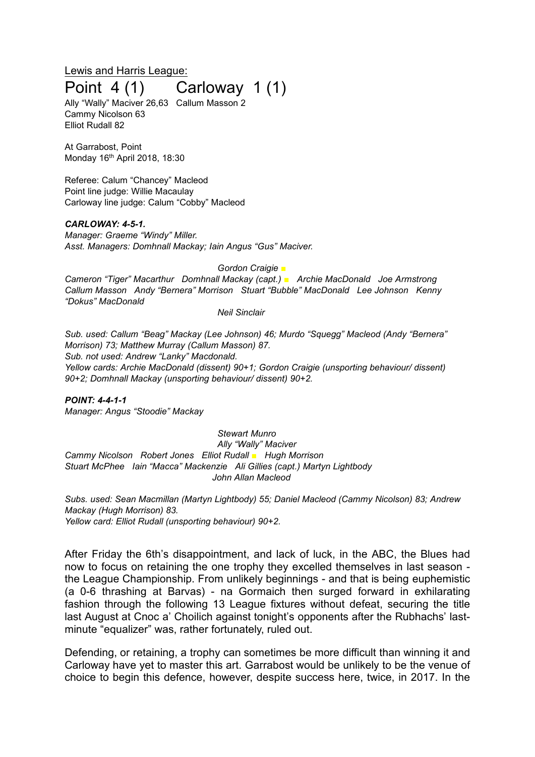# Lewis and Harris League: Point 4 (1) Carloway 1 (1)

Ally "Wally" Maciver 26,63 Callum Masson 2 Cammy Nicolson 63 Elliot Rudall 82

At Garrabost, Point Monday 16th April 2018, 18:30

Referee: Calum "Chancey" Macleod Point line judge: Willie Macaulay Carloway line judge: Calum "Cobby" Macleod

#### *CARLOWAY: 4-5-1.*

*Manager: Graeme "Windy" Miller. Asst. Managers: Domhnall Mackay; Iain Angus "Gus" Maciver.*

#### *Gordon Craigie ■*

*Cameron "Tiger" Macarthur Domhnall Mackay (capt.) ■ Archie MacDonald Joe Armstrong Callum Masson Andy "Bernera" Morrison Stuart "Bubble" MacDonald Lee Johnson Kenny "Dokus" MacDonald*

#### *Neil Sinclair*

*Sub. used: Callum "Beag" Mackay (Lee Johnson) 46; Murdo "Squegg" Macleod (Andy "Bernera" Morrison) 73; Matthew Murray (Callum Masson) 87. Sub. not used: Andrew "Lanky" Macdonald. Yellow cards: Archie MacDonald (dissent) 90+1; Gordon Craigie (unsporting behaviour/ dissent) 90+2; Domhnall Mackay (unsporting behaviour/ dissent) 90+2.*

*POINT: 4-4-1-1 Manager: Angus "Stoodie" Mackay*

*Stewart Munro Ally "Wally" Maciver Cammy Nicolson Robert Jones Elliot Rudall ■ Hugh Morrison Stuart McPhee Iain "Macca" Mackenzie Ali Gillies (capt.) Martyn Lightbody John Allan Macleod*

*Subs. used: Sean Macmillan (Martyn Lightbody) 55; Daniel Macleod (Cammy Nicolson) 83; Andrew Mackay (Hugh Morrison) 83. Yellow card: Elliot Rudall (unsporting behaviour) 90+2.*

After Friday the 6th's disappointment, and lack of luck, in the ABC, the Blues had now to focus on retaining the one trophy they excelled themselves in last season the League Championship. From unlikely beginnings - and that is being euphemistic (a 0-6 thrashing at Barvas) - na Gormaich then surged forward in exhilarating fashion through the following 13 League fixtures without defeat, securing the title last August at Cnoc a' Choilich against tonight's opponents after the Rubhachs' lastminute "equalizer" was, rather fortunately, ruled out.

Defending, or retaining, a trophy can sometimes be more difficult than winning it and Carloway have yet to master this art. Garrabost would be unlikely to be the venue of choice to begin this defence, however, despite success here, twice, in 2017. In the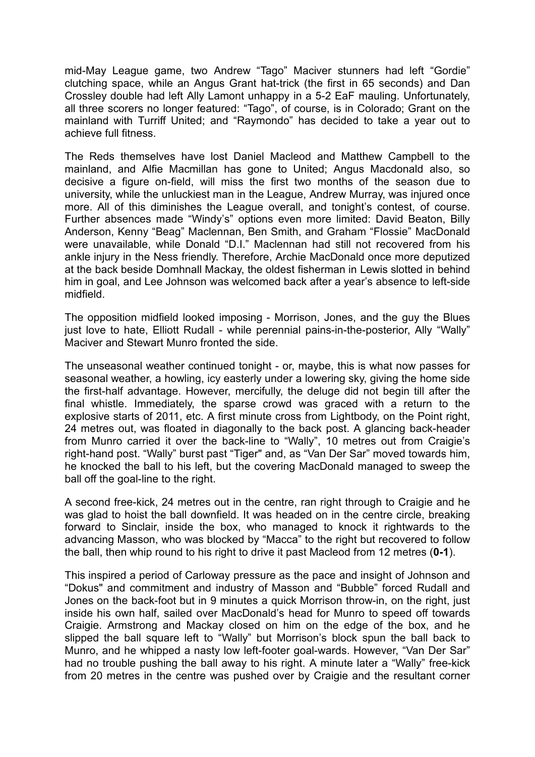mid-May League game, two Andrew "Tago" Maciver stunners had left "Gordie" clutching space, while an Angus Grant hat-trick (the first in 65 seconds) and Dan Crossley double had left Ally Lamont unhappy in a 5-2 EaF mauling. Unfortunately, all three scorers no longer featured: "Tago", of course, is in Colorado; Grant on the mainland with Turriff United; and "Raymondo" has decided to take a year out to achieve full fitness.

The Reds themselves have lost Daniel Macleod and Matthew Campbell to the mainland, and Alfie Macmillan has gone to United; Angus Macdonald also, so decisive a figure on-field, will miss the first two months of the season due to university, while the unluckiest man in the League, Andrew Murray, was injured once more. All of this diminishes the League overall, and tonight's contest, of course. Further absences made "Windy's" options even more limited: David Beaton, Billy Anderson, Kenny "Beag" Maclennan, Ben Smith, and Graham "Flossie" MacDonald were unavailable, while Donald "D.I." Maclennan had still not recovered from his ankle injury in the Ness friendly. Therefore, Archie MacDonald once more deputized at the back beside Domhnall Mackay, the oldest fisherman in Lewis slotted in behind him in goal, and Lee Johnson was welcomed back after a year's absence to left-side midfield.

The opposition midfield looked imposing - Morrison, Jones, and the guy the Blues just love to hate, Elliott Rudall - while perennial pains-in-the-posterior, Ally "Wally" Maciver and Stewart Munro fronted the side.

The unseasonal weather continued tonight - or, maybe, this is what now passes for seasonal weather, a howling, icy easterly under a lowering sky, giving the home side the first-half advantage. However, mercifully, the deluge did not begin till after the final whistle. Immediately, the sparse crowd was graced with a return to the explosive starts of 2011, etc. A first minute cross from Lightbody, on the Point right, 24 metres out, was floated in diagonally to the back post. A glancing back-header from Munro carried it over the back-line to "Wally", 10 metres out from Craigie's right-hand post. "Wally" burst past "Tiger" and, as "Van Der Sar" moved towards him, he knocked the ball to his left, but the covering MacDonald managed to sweep the ball off the goal-line to the right.

A second free-kick, 24 metres out in the centre, ran right through to Craigie and he was glad to hoist the ball downfield. It was headed on in the centre circle, breaking forward to Sinclair, inside the box, who managed to knock it rightwards to the advancing Masson, who was blocked by "Macca" to the right but recovered to follow the ball, then whip round to his right to drive it past Macleod from 12 metres (**0-1**).

This inspired a period of Carloway pressure as the pace and insight of Johnson and "Dokus" and commitment and industry of Masson and "Bubble" forced Rudall and Jones on the back-foot but in 9 minutes a quick Morrison throw-in, on the right, just inside his own half, sailed over MacDonald's head for Munro to speed off towards Craigie. Armstrong and Mackay closed on him on the edge of the box, and he slipped the ball square left to "Wally" but Morrison's block spun the ball back to Munro, and he whipped a nasty low left-footer goal-wards. However, "Van Der Sar" had no trouble pushing the ball away to his right. A minute later a "Wally" free-kick from 20 metres in the centre was pushed over by Craigie and the resultant corner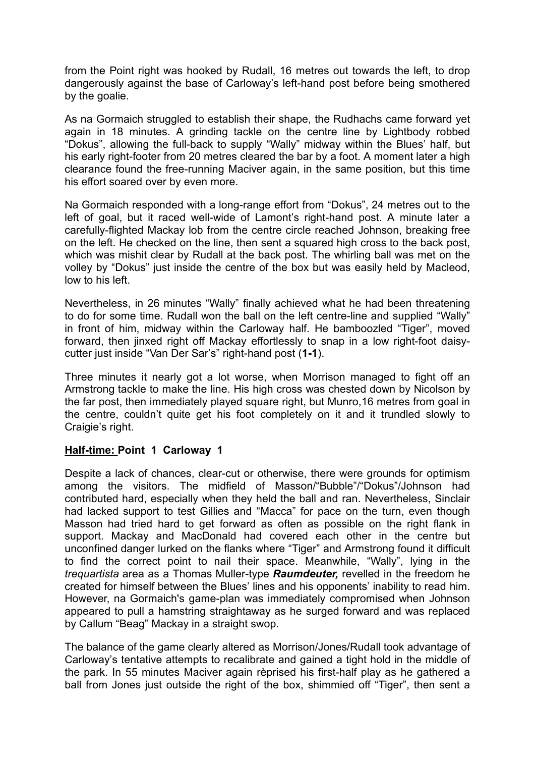from the Point right was hooked by Rudall, 16 metres out towards the left, to drop dangerously against the base of Carloway's left-hand post before being smothered by the goalie.

As na Gormaich struggled to establish their shape, the Rudhachs came forward yet again in 18 minutes. A grinding tackle on the centre line by Lightbody robbed "Dokus", allowing the full-back to supply "Wally" midway within the Blues' half, but his early right-footer from 20 metres cleared the bar by a foot. A moment later a high clearance found the free-running Maciver again, in the same position, but this time his effort soared over by even more.

Na Gormaich responded with a long-range effort from "Dokus", 24 metres out to the left of goal, but it raced well-wide of Lamont's right-hand post. A minute later a carefully-flighted Mackay lob from the centre circle reached Johnson, breaking free on the left. He checked on the line, then sent a squared high cross to the back post, which was mishit clear by Rudall at the back post. The whirling ball was met on the volley by "Dokus" just inside the centre of the box but was easily held by Macleod, low to his left.

Nevertheless, in 26 minutes "Wally" finally achieved what he had been threatening to do for some time. Rudall won the ball on the left centre-line and supplied "Wally" in front of him, midway within the Carloway half. He bamboozled "Tiger", moved forward, then jinxed right off Mackay effortlessly to snap in a low right-foot daisycutter just inside "Van Der Sar's" right-hand post (**1-1**).

Three minutes it nearly got a lot worse, when Morrison managed to fight off an Armstrong tackle to make the line. His high cross was chested down by Nicolson by the far post, then immediately played square right, but Munro,16 metres from goal in the centre, couldn't quite get his foot completely on it and it trundled slowly to Craigie's right.

### **Half-time: Point 1 Carloway 1**

Despite a lack of chances, clear-cut or otherwise, there were grounds for optimism among the visitors. The midfield of Masson/"Bubble"/"Dokus"/Johnson had contributed hard, especially when they held the ball and ran. Nevertheless, Sinclair had lacked support to test Gillies and "Macca" for pace on the turn, even though Masson had tried hard to get forward as often as possible on the right flank in support. Mackay and MacDonald had covered each other in the centre but unconfined danger lurked on the flanks where "Tiger" and Armstrong found it difficult to find the correct point to nail their space. Meanwhile, "Wally", lying in the *trequartista* area as a Thomas Muller-type *Raumdeuter,* revelled in the freedom he created for himself between the Blues' lines and his opponents' inability to read him. However, na Gormaich's game-plan was immediately compromised when Johnson appeared to pull a hamstring straightaway as he surged forward and was replaced by Callum "Beag" Mackay in a straight swop.

The balance of the game clearly altered as Morrison/Jones/Rudall took advantage of Carloway's tentative attempts to recalibrate and gained a tight hold in the middle of the park. In 55 minutes Maciver again rèprised his first-half play as he gathered a ball from Jones just outside the right of the box, shimmied off "Tiger", then sent a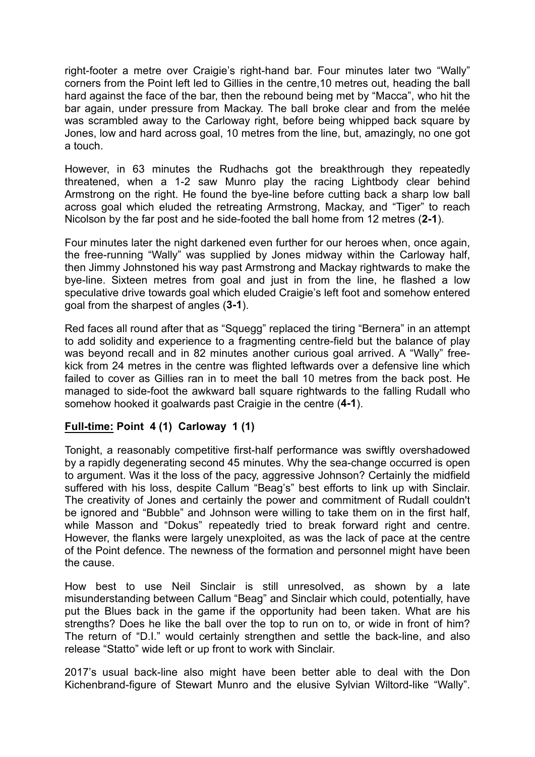right-footer a metre over Craigie's right-hand bar. Four minutes later two "Wally" corners from the Point left led to Gillies in the centre,10 metres out, heading the ball hard against the face of the bar, then the rebound being met by "Macca", who hit the bar again, under pressure from Mackay. The ball broke clear and from the melée was scrambled away to the Carloway right, before being whipped back square by Jones, low and hard across goal, 10 metres from the line, but, amazingly, no one got a touch.

However, in 63 minutes the Rudhachs got the breakthrough they repeatedly threatened, when a 1-2 saw Munro play the racing Lightbody clear behind Armstrong on the right. He found the bye-line before cutting back a sharp low ball across goal which eluded the retreating Armstrong, Mackay, and "Tiger" to reach Nicolson by the far post and he side-footed the ball home from 12 metres (**2-1**).

Four minutes later the night darkened even further for our heroes when, once again, the free-running "Wally" was supplied by Jones midway within the Carloway half, then Jimmy Johnstoned his way past Armstrong and Mackay rightwards to make the bye-line. Sixteen metres from goal and just in from the line, he flashed a low speculative drive towards goal which eluded Craigie's left foot and somehow entered goal from the sharpest of angles (**3-1**).

Red faces all round after that as "Squegg" replaced the tiring "Bernera" in an attempt to add solidity and experience to a fragmenting centre-field but the balance of play was beyond recall and in 82 minutes another curious goal arrived. A "Wally" freekick from 24 metres in the centre was flighted leftwards over a defensive line which failed to cover as Gillies ran in to meet the ball 10 metres from the back post. He managed to side-foot the awkward ball square rightwards to the falling Rudall who somehow hooked it goalwards past Craigie in the centre (**4-1**).

# **Full-time: Point 4 (1) Carloway 1 (1)**

Tonight, a reasonably competitive first-half performance was swiftly overshadowed by a rapidly degenerating second 45 minutes. Why the sea-change occurred is open to argument. Was it the loss of the pacy, aggressive Johnson? Certainly the midfield suffered with his loss, despite Callum "Beag's" best efforts to link up with Sinclair. The creativity of Jones and certainly the power and commitment of Rudall couldn't be ignored and "Bubble" and Johnson were willing to take them on in the first half, while Masson and "Dokus" repeatedly tried to break forward right and centre. However, the flanks were largely unexploited, as was the lack of pace at the centre of the Point defence. The newness of the formation and personnel might have been the cause.

How best to use Neil Sinclair is still unresolved, as shown by a late misunderstanding between Callum "Beag" and Sinclair which could, potentially, have put the Blues back in the game if the opportunity had been taken. What are his strengths? Does he like the ball over the top to run on to, or wide in front of him? The return of "D.I." would certainly strengthen and settle the back-line, and also release "Statto" wide left or up front to work with Sinclair.

2017's usual back-line also might have been better able to deal with the Don Kichenbrand-figure of Stewart Munro and the elusive Sylvian Wiltord-like "Wally".